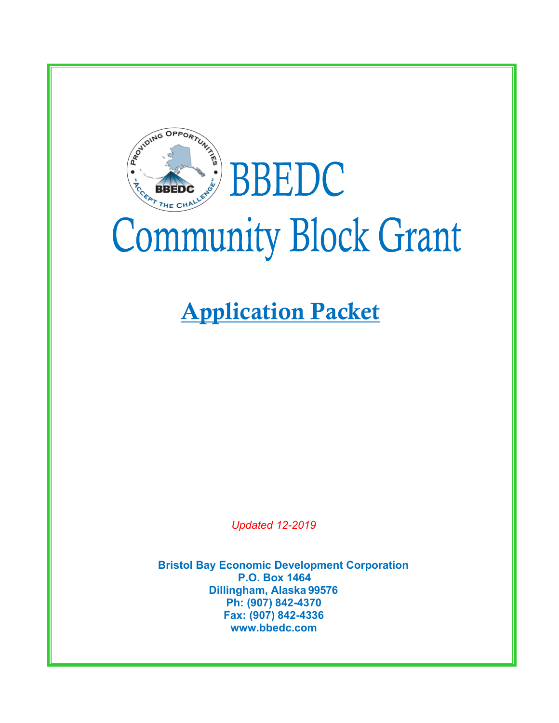

# BBEDC **EBEDC Community Block Grant**

## Application Packet

*Updated 12-2019*

**Bristol Bay Economic Development Corporation P.O. Box 1464 Dillingham, Alaska 99576 Ph: (907) 842-4370 Fax: (907) 842-4336 www.bbedc.com**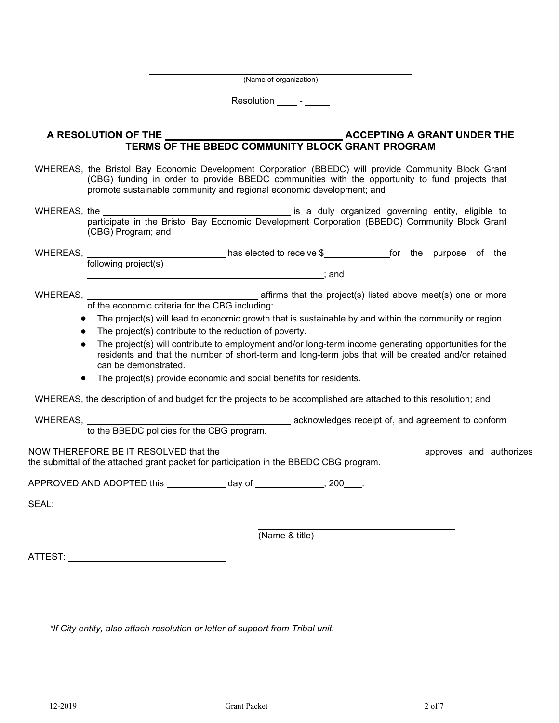(Name of organization)

Resolution \_\_\_\_\_\_\_\_\_

#### A RESOLUTION OF THE **ACCEPTING A GRANT UNDER THE TERMS OF THE BBEDC COMMUNITY BLOCK GRANT PROGRAM**

- WHEREAS, the Bristol Bay Economic Development Corporation (BBEDC) will provide Community Block Grant (CBG) funding in order to provide BBEDC communities with the opportunity to fund projects that promote sustainable community and regional economic development; and
- WHEREAS, the is a duly organized governing entity, eligible to participate in the Bristol Bay Economic Development Corporation (BBEDC) Community Block Grant (CBG) Program; and

| <b>WHEREAS,</b> |                      | has elected to receive \$ |     | tor | the | purpose | οt | the |
|-----------------|----------------------|---------------------------|-----|-----|-----|---------|----|-----|
|                 | following project(s) |                           |     |     |     |         |    |     |
|                 |                      |                           | and |     |     |         |    |     |

WHEREAS, WHEREAS,  $\blacksquare$  affirms that the project(s) listed above meet(s) one or more of the economic criteria for the CBG including:

- The project(s) will lead to economic growth that is sustainable by and within the community or region.
- The project(s) contribute to the reduction of poverty.
- The project(s) will contribute to employment and/or long-term income generating opportunities for the residents and that the number of short-term and long-term jobs that will be created and/or retained can be demonstrated.
- The project(s) provide economic and social benefits for residents.

WHEREAS, the description of and budget for the projects to be accomplished are attached to this resolution; and

WHEREAS, WHEREAS,

to the BBEDC policies for the CBG program.

NOW THEREFORE BE IT RESOLVED that the approves and authorizes the submittal of the attached grant packet for participation in the BBEDC CBG program.

APPROVED AND ADOPTED this day of  $\frac{1}{200}$ .

SEAL:

(Name & title)

ATTEST:

*\*If City entity, also attach resolution or letter of support from Tribal unit.*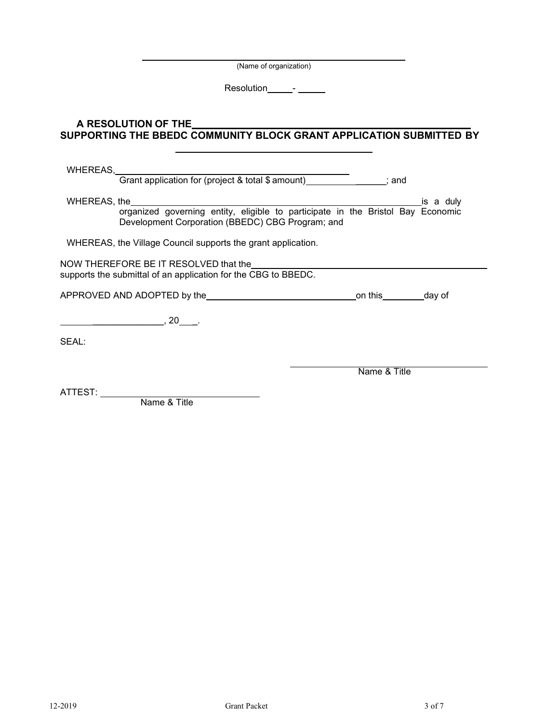(Name of organization)

Resolution\_\_\_\_\_\_- \_\_\_\_\_\_

**SUPPORTING THE BBEDC COMMUNITY BLOCK GRANT APPLICATION SUBMITTED BY** 

**A RESOLUTION OF THE** 

## WHEREAS, Grant application for (project & total \$ amount) Fig. 3. and WHEREAS, the is a duly organized governing entity, eligible to participate in the Bristol Bay Economic Development Corporation (BBEDC) CBG Program; and WHEREAS, the Village Council supports the grant application. NOW THEREFORE BE IT RESOLVED that the supports the submittal of an application for the CBG to BBEDC. APPROVED AND ADOPTED by the only and this day of  $\overline{\phantom{a}}$ , 20  $\overline{\phantom{a}}$ . SEAL: Name & Title ATTEST: Name & Title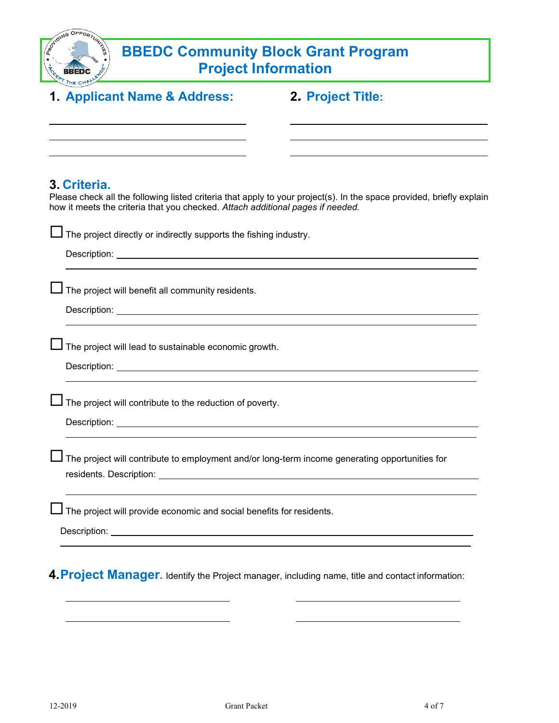| ACAIDING OPPORTUNITY<br><b>BBEDC Community Block Grant Program</b><br><b>Project Information</b> |                                                                                                                                                                                                                                                                                                             |                                                                                                                      |  |
|--------------------------------------------------------------------------------------------------|-------------------------------------------------------------------------------------------------------------------------------------------------------------------------------------------------------------------------------------------------------------------------------------------------------------|----------------------------------------------------------------------------------------------------------------------|--|
|                                                                                                  | 1. Applicant Name & Address:                                                                                                                                                                                                                                                                                | 2. Project Title:                                                                                                    |  |
|                                                                                                  |                                                                                                                                                                                                                                                                                                             |                                                                                                                      |  |
|                                                                                                  | 3. Criteria.<br>how it meets the criteria that you checked. Attach additional pages if needed.                                                                                                                                                                                                              | Please check all the following listed criteria that apply to your project(s). In the space provided, briefly explain |  |
|                                                                                                  | $\perp$ The project directly or indirectly supports the fishing industry.<br>Description: the contract of the contract of the contract of the contract of the contract of the contract of the contract of the contract of the contract of the contract of the contract of the contract of the contract of t |                                                                                                                      |  |
|                                                                                                  | $\Box$ The project will benefit all community residents.                                                                                                                                                                                                                                                    |                                                                                                                      |  |
|                                                                                                  | $\Box$ The project will lead to sustainable economic growth.                                                                                                                                                                                                                                                |                                                                                                                      |  |
|                                                                                                  | The project will contribute to the reduction of poverty.<br>Description: the contract of the contract of the contract of the contract of the contract of the contract of the contract of the contract of the contract of the contract of the contract of the contract of the contract of t                  |                                                                                                                      |  |
|                                                                                                  |                                                                                                                                                                                                                                                                                                             | The project will contribute to employment and/or long-term income generating opportunities for                       |  |
|                                                                                                  | The project will provide economic and social benefits for residents.                                                                                                                                                                                                                                        |                                                                                                                      |  |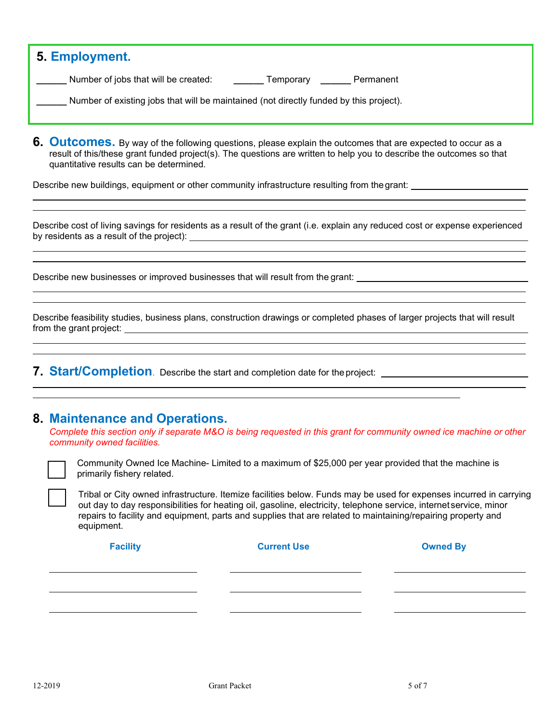| 5. Employment.                                                                         |                        |  |  |  |
|----------------------------------------------------------------------------------------|------------------------|--|--|--|
| Number of jobs that will be created:                                                   | Permanent<br>Temporary |  |  |  |
| Number of existing jobs that will be maintained (not directly funded by this project). |                        |  |  |  |
|                                                                                        |                        |  |  |  |

**6. Outcomes.** By way of the following questions, please explain the outcomes that are expected to occur as a result of this/these grant funded project(s). The questions are written to help you to describe the outcomes so that quantitative results can be determined.

Describe new buildings, equipment or other community infrastructure resulting from thegrant:

Describe cost of living savings for residents as a result of the grant (i.e. explain any reduced cost or expense experienced by residents as a result of the project):

Describe new businesses or improved businesses that will result from the grant:

Describe feasibility studies, business plans, construction drawings or completed phases of larger projects that will result from the grant project: <u>experience</u> and the grant project: **experience and the grant project**:

**7. Start/Completion**. Describe the start and completion date for the project:

### **8. Maintenance and Operations.**

*Complete this section only if separate M&O is being requested in this grant for community owned ice machine or other community owned facilities.*



Community Owned Ice Machine- Limited to a maximum of \$25,000 per year provided that the machine is primarily fishery related.

Tribal or City owned infrastructure. Itemize facilities below. Funds may be used for expenses incurred in carrying out day to day responsibilities for heating oil, gasoline, electricity, telephone service, internet service, minor repairs to facility and equipment, parts and supplies that are related to maintaining/repairing property and equipment.

| <b>Facility</b> | <b>Current Use</b> | <b>Owned By</b> |
|-----------------|--------------------|-----------------|
|                 |                    |                 |
|                 |                    |                 |
|                 |                    |                 |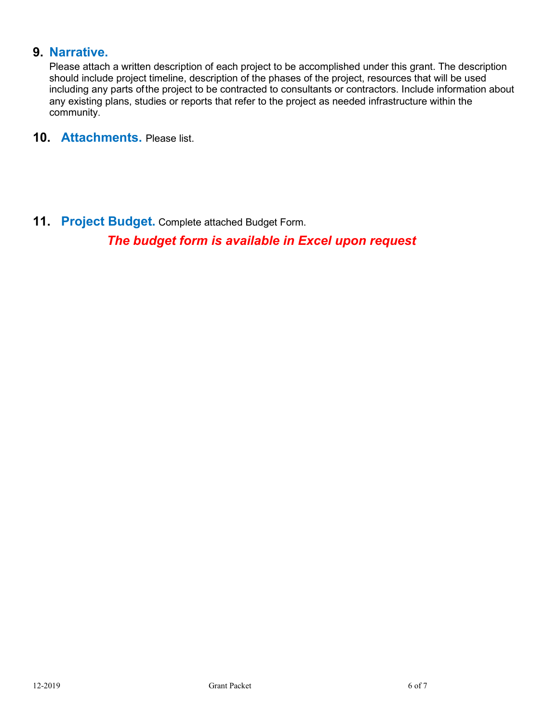## **9. Narrative.**

Please attach a written description of each project to be accomplished under this grant. The description should include project timeline, description of the phases of the project, resources that will be used including any parts ofthe project to be contracted to consultants or contractors. Include information about any existing plans, studies or reports that refer to the project as needed infrastructure within the community.

**10. Attachments.** Please list.

**11. Project Budget.** Complete attached Budget Form. *The budget form is available in Excel upon request*